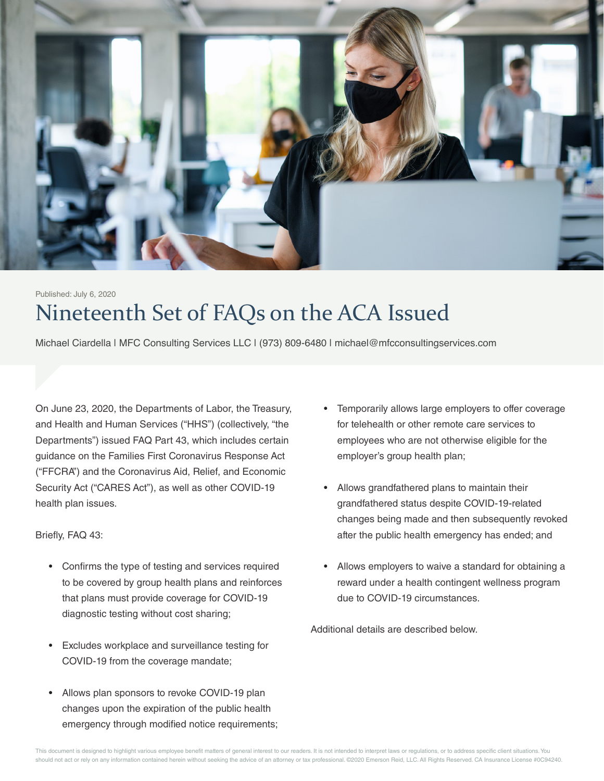

# Nineteenth Set of FAQs on the ACA Issued Published: July 6, 2020

Michael Ciardella | MFC Consulting Services LLC | (973) 809-6480 | michael@mfcconsultingservices.com

On June 23, 2020, the Departments of Labor, the Treasury, and Health and Human Services ("HHS") (collectively, "the Departments") issued FAQ Part 43, which includes certain guidance on the Families First Coronavirus Response Act ("FFCRA") and the Coronavirus Aid, Relief, and Economic Security Act ("CARES Act"), as well as other COVID-19 health plan issues.

Briefly, FAQ 43:

- Confirms the type of testing and services required to be covered by group health plans and reinforces that plans must provide coverage for COVID-19 diagnostic testing without cost sharing;
- Excludes workplace and surveillance testing for COVID-19 from the coverage mandate;
- Allows plan sponsors to revoke COVID-19 plan changes upon the expiration of the public health emergency through modified notice requirements;
- Temporarily allows large employers to offer coverage for telehealth or other remote care services to employees who are not otherwise eligible for the employer's group health plan;
- Allows grandfathered plans to maintain their grandfathered status despite COVID-19-related changes being made and then subsequently revoked after the public health emergency has ended; and
- Allows employers to waive a standard for obtaining a reward under a health contingent wellness program due to COVID-19 circumstances.

Additional details are described below.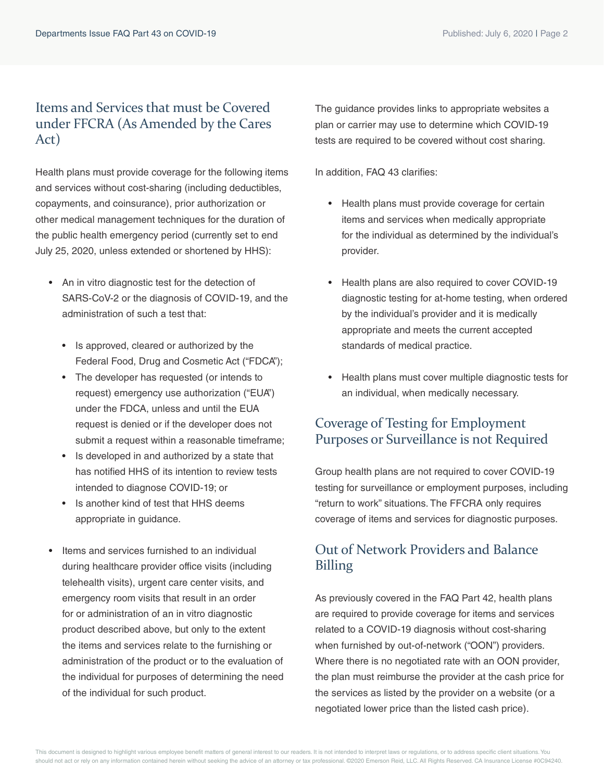#### Items and Services that must be Covered under FFCRA (As Amended by the Cares Act)

Health plans must provide coverage for the following items and services without cost-sharing (including deductibles, copayments, and coinsurance), prior authorization or other medical management techniques for the duration of the public health emergency period (currently set to end July 25, 2020, unless extended or shortened by HHS):

- An in vitro diagnostic test for the detection of SARS-CoV-2 or the diagnosis of COVID-19, and the administration of such a test that:
	- Is approved, cleared or authorized by the Federal Food, Drug and Cosmetic Act ("FDCA");
	- The developer has requested (or intends to request) emergency use authorization ("EUA") under the FDCA, unless and until the EUA request is denied or if the developer does not submit a request within a reasonable timeframe;
	- Is developed in and authorized by a state that has notified HHS of its intention to review tests intended to diagnose COVID-19; or
	- Is another kind of test that HHS deems appropriate in guidance.
- Items and services furnished to an individual during healthcare provider office visits (including telehealth visits), urgent care center visits, and emergency room visits that result in an order for or administration of an in vitro diagnostic product described above, but only to the extent the items and services relate to the furnishing or administration of the product or to the evaluation of the individual for purposes of determining the need of the individual for such product.

The guidance provides links to appropriate websites a plan or carrier may use to determine which COVID-19 tests are required to be covered without cost sharing.

In addition, FAQ 43 clarifies:

- Health plans must provide coverage for certain items and services when medically appropriate for the individual as determined by the individual's provider.
- Health plans are also required to cover COVID-19 diagnostic testing for at-home testing, when ordered by the individual's provider and it is medically appropriate and meets the current accepted standards of medical practice.
- Health plans must cover multiple diagnostic tests for an individual, when medically necessary.

### Coverage of Testing for Employment Purposes or Surveillance is not Required

Group health plans are not required to cover COVID-19 testing for surveillance or employment purposes, including "return to work" situations. The FFCRA only requires coverage of items and services for diagnostic purposes.

## Out of Network Providers and Balance Billing

As previously covered in the FAQ Part 42, health plans are required to provide coverage for items and services related to a COVID-19 diagnosis without cost-sharing when furnished by out-of-network ("OON") providers. Where there is no negotiated rate with an OON provider, the plan must reimburse the provider at the cash price for the services as listed by the provider on a website (or a negotiated lower price than the listed cash price).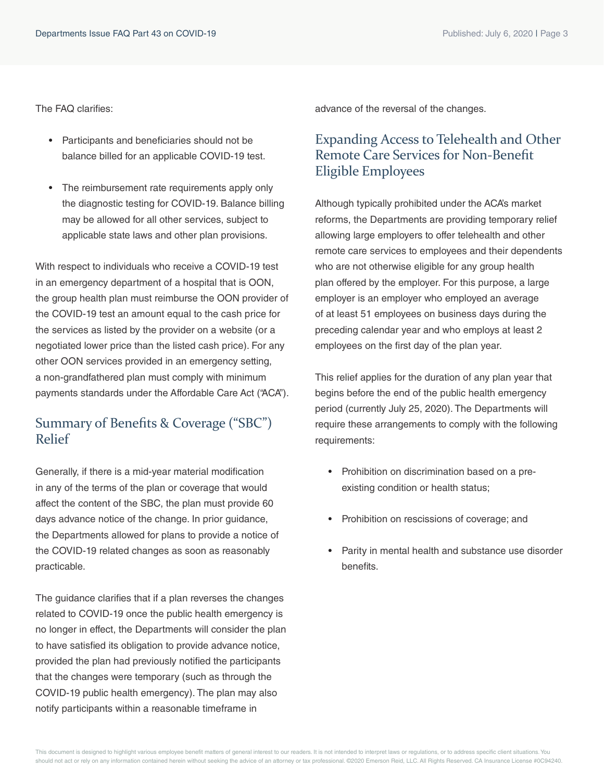The FAQ clarifies:

- Participants and beneficiaries should not be balance billed for an applicable COVID-19 test.
- The reimbursement rate requirements apply only the diagnostic testing for COVID-19. Balance billing may be allowed for all other services, subject to applicable state laws and other plan provisions.

With respect to individuals who receive a COVID-19 test in an emergency department of a hospital that is OON, the group health plan must reimburse the OON provider of the COVID-19 test an amount equal to the cash price for the services as listed by the provider on a website (or a negotiated lower price than the listed cash price). For any other OON services provided in an emergency setting, a non-grandfathered plan must comply with minimum payments standards under the Affordable Care Act ("ACA").

#### Summary of Benefits & Coverage ("SBC") Relief

Generally, if there is a mid-year material modification in any of the terms of the plan or coverage that would affect the content of the SBC, the plan must provide 60 days advance notice of the change. In prior guidance, the Departments allowed for plans to provide a notice of the COVID-19 related changes as soon as reasonably practicable.

The guidance clarifies that if a plan reverses the changes related to COVID-19 once the public health emergency is no longer in effect, the Departments will consider the plan to have satisfied its obligation to provide advance notice, provided the plan had previously notified the participants that the changes were temporary (such as through the COVID-19 public health emergency). The plan may also notify participants within a reasonable timeframe in

advance of the reversal of the changes.

#### Expanding Access to Telehealth and Other Remote Care Services for Non-Benefit Eligible Employees

Although typically prohibited under the ACA's market reforms, the Departments are providing temporary relief allowing large employers to offer telehealth and other remote care services to employees and their dependents who are not otherwise eligible for any group health plan offered by the employer. For this purpose, a large employer is an employer who employed an average of at least 51 employees on business days during the preceding calendar year and who employs at least 2 employees on the first day of the plan year.

This relief applies for the duration of any plan year that begins before the end of the public health emergency period (currently July 25, 2020). The Departments will require these arrangements to comply with the following requirements:

- Prohibition on discrimination based on a preexisting condition or health status;
- Prohibition on rescissions of coverage; and
- Parity in mental health and substance use disorder benefits.